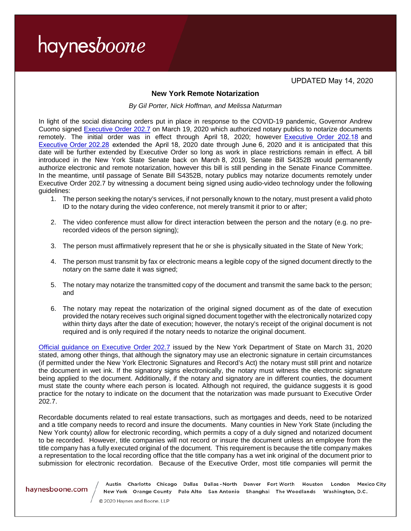UPDATED May 14, 2020

## **New York Remote Notarization**

*By Gil Porter, Nick Hoffman, and Melissa Naturman*

In light of the social distancing orders put in place in response to the COVID-19 pandemic, Governor Andrew Cuomo signed [Executive Order 202.7](https://www.governor.ny.gov/sites/governor.ny.gov/files/atoms/files/EO%20202.7.pdf) on March 19, 2020 which authorized notary publics to notarize documents remotely. The initial order was in effect through April 18, 2020; however [Executive]((https://www.governor.ny.gov/news/no-20218-continuing-temporary-suspension-and-modification-laws-relating-disaster-emergency) Order 202.18 and [Executive Order 202.28](https://www.governor.ny.gov/news/no-20228-continuing-temporary-suspension-and-modification-laws-relating-disaster-emergency) extended the April 18, 2020 date through June 6, 2020 and it is anticipated that this date will be further extended by Executive Order so long as work in place restrictions remain in effect. A bill introduced in the New York State Senate back on March 8, 2019, Senate Bill S4352B would permanently authorize electronic and remote notarization, however this bill is still pending in the Senate Finance Committee. In the meantime, until passage of Senate Bill S4352B, notary publics may notarize documents remotely under Executive Order 202.7 by witnessing a document being signed using audio-video technology under the following guidelines:

- 1. The person seeking the notary's services, if not personally known to the notary, must present a valid photo ID to the notary during the video conference, not merely transmit it prior to or after;
- 2. The video conference must allow for direct interaction between the person and the notary (e.g. no prerecorded videos of the person signing);
- 3. The person must affirmatively represent that he or she is physically situated in the State of New York;
- 4. The person must transmit by fax or electronic means a legible copy of the signed document directly to the notary on the same date it was signed;
- 5. The notary may notarize the transmitted copy of the document and transmit the same back to the person; and
- 6. The notary may repeat the notarization of the original signed document as of the date of execution provided the notary receives such original signed document together with the electronically notarized copy within thirty days after the date of execution; however, the notary's receipt of the original document is not required and is only required if the notary needs to notarize the original document.

[Official guidance on Executive Order 202.7](https://www.dos.ny.gov/licensing/notary/DOS_COVID19_RemoteNotaryGuidance.pdf) issued by the New York Department of State on March 31, 2020 stated, among other things, that although the signatory may use an electronic signature in certain circumstances (if permitted under the New York Electronic Signatures and Record's Act) the notary must still print and notarize the document in wet ink. If the signatory signs electronically, the notary must witness the electronic signature being applied to the document. Additionally, if the notary and signatory are in different counties, the document must state the county where each person is located. Although not required, the guidance suggests it is good practice for the notary to indicate on the document that the notarization was made pursuant to Executive Order 202.7.

Recordable documents related to real estate transactions, such as mortgages and deeds, need to be notarized and a title company needs to record and insure the documents. Many counties in New York State (including the New York county) allow for electronic recording, which permits a copy of a duly signed and notarized document to be recorded. However, title companies will not record or insure the document unless an employee from the title company has a fully executed original of the document. This requirement is because the title company makes a representation to the local recording office that the title company has a wet ink original of the document prior to submission for electronic recordation. Because of the Executive Order, most title companies will permit the

havnesboone.com

Austin Charlotte Chicago Dallas Dallas-North Denver Fort Worth Houston London Mexico City New York Orange County Palo Alto San Antonio Shanghai The Woodlands Washington, D.C.